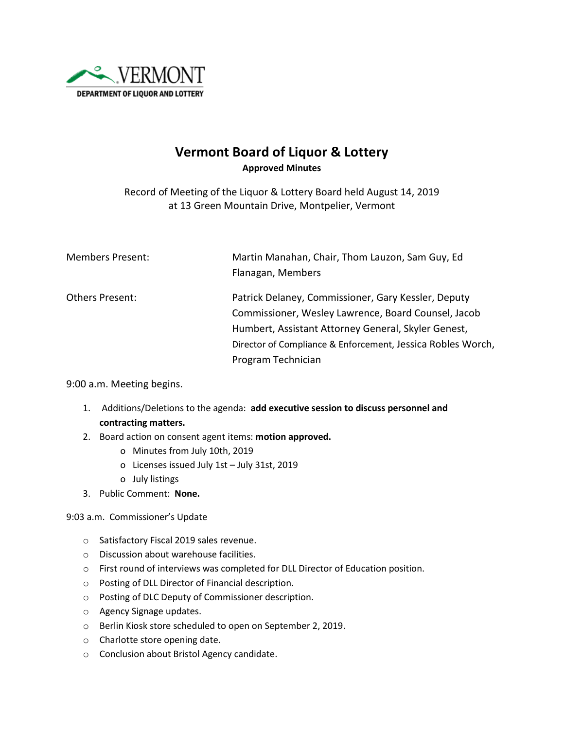

## **Vermont Board of Liquor & Lottery Approved Minutes**

Record of Meeting of the Liquor & Lottery Board held August 14, 2019 at 13 Green Mountain Drive, Montpelier, Vermont

| <b>Members Present:</b> | Martin Manahan, Chair, Thom Lauzon, Sam Guy, Ed<br>Flanagan, Members                                       |
|-------------------------|------------------------------------------------------------------------------------------------------------|
| Others Present:         | Patrick Delaney, Commissioner, Gary Kessler, Deputy<br>Commissioner, Wesley Lawrence, Board Counsel, Jacob |
|                         | Humbert, Assistant Attorney General, Skyler Genest,                                                        |
|                         | Director of Compliance & Enforcement, Jessica Robles Worch,                                                |
|                         | Program Technician                                                                                         |

9:00 a.m. Meeting begins.

- 1. Additions/Deletions to the agenda: **add executive session to discuss personnel and contracting matters.**
- 2. Board action on consent agent items: **motion approved.**
	- o Minutes from July 10th, 2019
	- o Licenses issued July 1st July 31st, 2019
	- o July listings
- 3. Public Comment: **None.**

9:03 a.m. Commissioner's Update

- o Satisfactory Fiscal 2019 sales revenue.
- o Discussion about warehouse facilities.
- o First round of interviews was completed for DLL Director of Education position.
- o Posting of DLL Director of Financial description.
- o Posting of DLC Deputy of Commissioner description.
- o Agency Signage updates.
- o Berlin Kiosk store scheduled to open on September 2, 2019.
- o Charlotte store opening date.
- o Conclusion about Bristol Agency candidate.